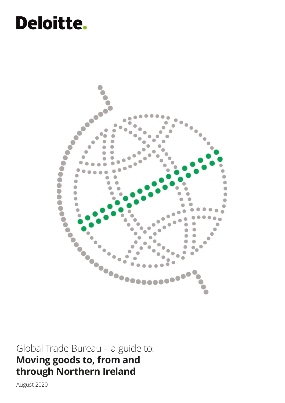# **Deloitte.**



Global Trade Bureau – a guide to: **Moving goods to, from and through Northern Ireland** 

August 2020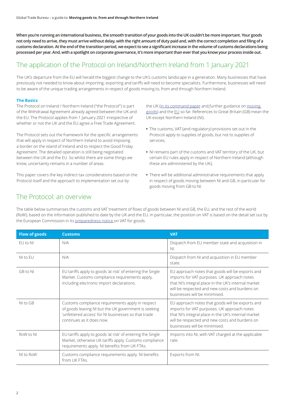**When you're running an international business, the smooth transition of your goods into the UK couldn't be more important. Your goods not only need to arrive, they must arrive without delay, with the right amount of duty paid and, with the correct completion and filing of a customs declaration. At the end of the transition period, we expect to see a significant increase in the volume of customs declarations being processed per year. And, with a spotlight on corporate governance, it's more important than ever that you know your process inside out.** 

## The application of the Protocol on Ireland/Northern Ireland from 1 January 2021

The UK's departure from the EU will herald the biggest change to the UK's customs landscape in a generation. Many businesses that have previously not needed to know about importing, exporting and tariffs will need to become specialists. Furthermore, businesses will need to be aware of the unique trading arrangements in respect of goods moving to, from and through Northern Ireland.

#### **The Basics**

The Protocol on Ireland / Northern Ireland ("the Protocol") is part of the Withdrawal Agreement already agreed between the UK and the EU. The Protocol applies from 1 January 2021 irrespective of whether or not the UK and the EU agree a Free Trade Agreement.

The Protocol sets out the framework for the specific arrangements that will apply in respect of Northern Ireland to avoid imposing a border on the island of Ireland and to respect the Good Friday Agreement. The detailed operation is still being negotiated between the UK and the EU. So whilst there are some things we know, uncertainty remains in a number of areas.

This paper covers the key indirect tax considerations based on the Protocol itself and the approach to implementation set out by

the UK [\(in its command paper](https://www.gov.uk/government/publications/moving-goods-under-the-northern-ireland-protocol) and [further guidance on moving](https://www.gov.uk/government/publications/moving-goods-under-the-northern-ireland-protocol)  [goods\)](https://www.gov.uk/government/publications/moving-goods-under-the-northern-ireland-protocol) and the [EU](https://ec.europa.eu/info/publications/technical-note-implementation-protocol-ireland-northern-ireland_en) so far. References to Great Britain (GB) mean the UK except Northern Ireland (NI).

- **•** The customs, VAT (and regulatory) provisions set out in the Protocol apply to supplies of goods, but not to supplies of services;
- **•** NI remains part of the customs and VAT territory of the UK, but certain EU rules apply in respect of Northern Ireland (although these are administered by the UK);
- **•** There will be additional administrative requirements that apply in respect of goods moving between NI and GB, in particular for goods moving from GB to NI.

## The Protocol: an overview

[The table below summarises the customs and VAT treatment of flows of goods between NI and GB, the EU, and the rest of the world](https://ec.europa.eu/info/sites/info/files/brexit_files/info_site/vat-goods_en_0.pdf)  [\(RoW\), based on the information published to date by the UK and the EU. In particular, the position on VAT is based on the detail set out by](https://ec.europa.eu/info/sites/info/files/brexit_files/info_site/vat-goods_en_0.pdf)  [the European Commission in its preparedness notice on VAT for goods.](https://ec.europa.eu/info/sites/info/files/brexit_files/info_site/vat-goods_en_0.pdf)

| <b>Flow of goods</b> | <b>Customs</b>                                                                                                                                                                               | <b>VAT</b>                                                                                                                                                                                                                                 |
|----------------------|----------------------------------------------------------------------------------------------------------------------------------------------------------------------------------------------|--------------------------------------------------------------------------------------------------------------------------------------------------------------------------------------------------------------------------------------------|
| EU to NI             | N/A                                                                                                                                                                                          | Dispatch from EU member state and acquisition in<br>NI.                                                                                                                                                                                    |
| NI to EU             | N/A                                                                                                                                                                                          | Dispatch from NI and acquisition in EU member<br>state.                                                                                                                                                                                    |
| GB to NI             | EU tariffs apply to goods 'at risk' of entering the Single<br>Market. Customs compliance requirements apply,<br>including electronic import declarations.                                    | EU approach notes that goods will be exports and<br>imports for VAT purposes. UK approach notes<br>that NI's integral place in the UK's internal market<br>will be respected and new costs and burdens on<br>businesses will be minimised. |
| NI to GB             | Customs compliance requirements apply in respect<br>of goods leaving NI but the UK government is seeking<br>'unfettered access' for NI businesses so that trade<br>continues as it does now. | EU approach notes that goods will be exports and<br>imports for VAT purposes. UK approach notes<br>that NI's integral place in the UK's internal market<br>will be respected and new costs and burdens on<br>businesses will be minimised. |
| RoW to NI            | EU tariffs apply to goods 'at risk' of entering the Single<br>Market, otherwise UK tariffs apply. Customs compliance<br>requirements apply. NI benefits from UK FTAs.                        | Imports into NI, with VAT charged at the applicable<br>rate.                                                                                                                                                                               |
| NI to RoW            | Customs compliance requirements apply. NI benefits<br>from UK FTAs.                                                                                                                          | Exports from NI.                                                                                                                                                                                                                           |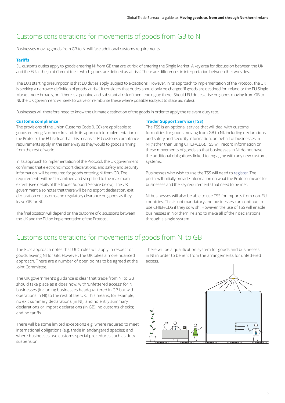# Customs considerations for movements of goods from GB to NI

Businesses moving goods from GB to NI will face additional customs requirements.

## **Tariffs**

EU customs duties apply to goods entering NI from GB that are 'at risk' of entering the Single Market. A key area for discussion between the UK and the EU at the Joint Committee is which goods are defined as 'at risk'. There are differences in interpretation between the two sides.

The EU's starting presumption is that EU duties apply, subject to exceptions. However, in its approach to implementation of the Protocol, the UK is seeking a narrower definition of goods 'at risk'. It considers that duties should only be charged 'if goods are destined for Ireland or the EU Single Market more broadly, or if there is a genuine and substantial risk of them ending up there'. Should EU duties arise on goods moving from GB to NI, the UK government will seek to waive or reimburse these where possible (subject to state aid rules).

Businesses will therefore need to know the ultimate destination of the goods in order to apply the relevant duty rate.

## **Customs compliance**

The provisions of the Union Customs Code (UCC) are applicable to goods entering Northern Ireland. In its approach to implementation of the Protocol, the EU is clear that this means all EU customs compliance requirements apply, in the same way as they would to goods arriving from the rest of world.

In its approach to implementation of the Protocol, the UK government confirmed that electronic import declarations, and safety and security information, will be required for goods entering NI from GB. The requirements will be 'streamlined and simplified to the maximum extent' (see details of the Trader Support Service below). The UK government also notes that there will be no export declaration, exit declaration or customs and regulatory clearance on goods as they leave GB for NI.

The final position will depend on the outcome of discussions between the UK and the EU on implementation of the Protocol.

## **Trader Support Service (TSS)**

The TSS is an optional service that will deal with customs formalities for goods moving from GB to NI, including declarations and safety and security information, on behalf of businesses in NI (rather than using CHIEF/CDS). TSS will record information on these movements of goods so that businesses in NI do not have the additional obligations linked to engaging with any new customs systems.

Businesses who wish to use the TSS will need to [register](https://www.gov.uk/guidance/trader-support-service). The portal will initially provide information on what the Protocol means for businesses and the key requirements that need to be met.

NI businesses will also be able to use TSS for imports from non-EU countries. This is not mandatory and businesses can continue to use CHIEF/CDS if they so wish. However, the use of TSS will enable businesses in Northern Ireland to make all of their declarations through a single system.

# Customs considerations for movements of goods from NI to GB

The EU's approach notes that UCC rules will apply in respect of goods leaving NI for GB. However, the UK takes a more nuanced approach. There are a number of open points to be agreed at the Joint Committee.

The UK government's guidance is clear that trade from NI to GB should take place as it does now, with 'unfettered access' for NI businesses (including businesses headquartered in GB but with operations in NI) to the rest of the UK. This means, for example, no exit summary declarations (in NI), and no entry summary declarations or import declarations (in GB); no customs checks; and no tariffs.

There will be some limited exceptions e.g. where required to meet international obligations (e.g. trade in endangered species) and where businesses use customs special procedures such as duty suspension.

There will be a qualification system for goods and businesses in NI in order to benefit from the arrangements for unfettered access.

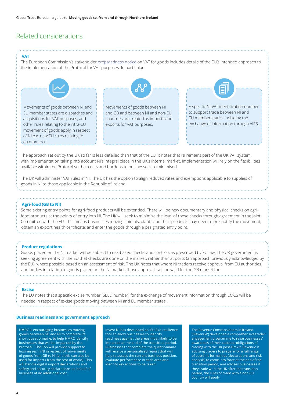## Related considerations

#### **VAT**

The European Commission's stakeholder [preparedness notice](https://ec.europa.eu/info/sites/info/files/brexit_files/info_site/vat-goods_en_0.pdf) on VAT for goods includes details of the EU's intended approach to the implementation of the Protocol for VAT purposes. In particular:



The approach set out by the UK so far is less detailed than that of the EU. It notes that NI remains part of the UK VAT system, with implementation taking into account NI's integral place in the UK's internal market. Implementation will rely on the flexibilities available within the Protocol so that costs and burdens to businesses are minimised.

The UK will administer VAT rules in NI. The UK has the option to align reduced rates and exemptions applicable to supplies of goods in NI to those applicable in the Republic of Ireland.

#### **Agri-food (GB to NI)**

Some existing entry points for agri-food products will be extended. There will be new documentary and physical checks on agrifood products at the points of entry into NI. The UK will seek to minimise the level of these checks through agreement in the Joint Committee with the EU. This means businesses moving animals, plants and their products may need to pre-notify the movement, obtain an export health certificate, and enter the goods through a designated entry point.

#### **Product regulations**

Goods placed on the NI market will be subject to risk-based checks and controls as prescribed by EU law. The UK government is seeking agreement with the EU that checks are done on the market, rather than at ports (an approach previously acknowledged by the EU), where possible based on an assessment of risk. The UK notes that where NI traders receive approval from EU authorities and bodies in relation to goods placed on the NI market, those approvals will be valid for the GB market too.

#### **Excise**

The EU notes that a specific excise number (SEED number) for the exchange of movement information through EMCS will be needed in respect of excise goods moving between NI and EU member states.

#### **Business readiness and government approach**

HMRC is encouraging businesses moving goods between GB and NI to complete its short questionnaire, to help HMRC identify businesses that will be impacted by the Protocol. The TSS will provide support to businesses in NI in respect of movements of goods from GB to NI (and this can also be used for imports from the rest of world). This will handle digital import declarations and safety and security declarations on behalf of business at no additional cost.

Invest NI has developed an 'EU Exit resilience tool' to allow businesses to identify readiness against the areas most likely to be impacted at the end of the transition period. Businesses that complete the questionnaire will receive a personalised report that will help to assess the current business position, evaluate performance in each area and identify key actions to be taken.

The Revenue Commissioners in Ireland ('Revenue') developed a comprehensive trader engagement programme to raise businesses' awareness of their customs obligations of trading with the UK post-Brexit. Revenue is advising traders to prepare for a full range of customs formalities (declarations and risk analysis) to come into force at the end of the transition period, and advises businesses if they trade with the UK after the transition period, the rules of trade with a non-EU country will apply.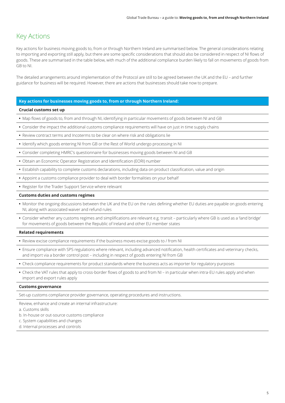## Key Actions

Key actions for business moving goods to, from or through Northern Ireland are summarised below. The general considerations relating to importing and exporting still apply, but there are some specific considerations that should also be considered in respect of NI flows of goods. These are summarised in the table below, with much of the additional compliance burden likely to fall on movements of goods from GB to NI.

The detailed arrangements around implementation of the Protocol are still to be agreed between the UK and the EU – and further guidance for business will be required. However, there are actions that businesses should take now to prepare.

### **Key actions for businesses moving goods to, from or through Northern Ireland:**

#### **Crucial customs set up**

- **•** Map flows of goods to, from and through NI, identifying in particular movements of goods between NI and GB
- **•** Consider the impact the additional customs compliance requirements will have on just in time supply chains
- **•** Review contract terms and Incoterms to be clear on where risk and obligations lie
- **•** Identify which goods entering NI from GB or the Rest of World undergo processing in NI
- **•** Consider completing HMRC's questionnaire for businesses moving goods between NI and GB
- **•** Obtain an Economic Operator Registration and Identification (EORI) number
- **•** Establish capability to complete customs declarations, including data on product classification, value and origin
- **•** Appoint a customs compliance provider to deal with border formalities on your behalf
- **•** Register for the Trader Support Service where relevant

#### **Customs duties and customs regimes**

- **•** Monitor the ongoing discussions between the UK and the EU on the rules defining whether EU duties are payable on goods entering NI, along with associated waiver and refund rules
- **•** Consider whether any customs regimes and simplifications are relevant e.g. transit particularly where GB is used as a 'land bridge' for movements of goods between the Republic of Ireland and other EU member states

#### **Related requirements**

- **•** Review excise compliance requirements if the business moves excise goods to / from NI
- **•** Ensure compliance with SPS regulations where relevant, including advanced notification, health certificates and veterinary checks, and import via a border control post – including in respect of goods entering NI from GB
- **•** Check compliance requirements for product standards where the business acts as importer for regulatory purposes
- **•** Check the VAT rules that apply to cross-border flows of goods to and from NI in particular when intra-EU rules apply and when import and export rules apply

#### **Customs governance**

Set-up customs compliance provider governance, operating procedures and instructions.

Review, enhance and create an internal infrastructure:

a. Customs skills

- b. In-house or out-source customs compliance
- c. System capabilities and changes
- d. Internal processes and controls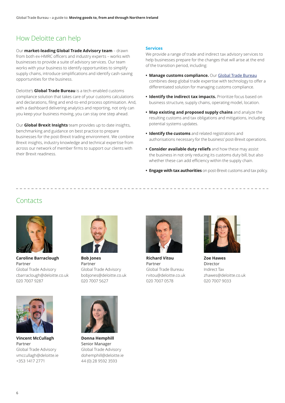# How Deloitte can help

Our **market-leading Global Trade Advisory team** – drawn from both ex-HMRC officers and industry experts – works with businesses to provide a suite of advisory services. Our team works with your business to identify opportunities to simplify supply chains, introduce simplifications and identify cash-saving opportunities for the business.

Deloitte's **Global Trade Bureau** is a tech-enabled customs compliance solution that takes care of your customs calculations and declarations, filing and end-to-end process optimisation. And, with a dashboard delivering analytics and reporting, not only can you keep your business moving, you can stay one step ahead.

Our **Global Brexit Insights** team provides up to date insights, benchmarking and guidance on best practice to prepare businesses for the post-Brexit trading environment. We combine Brexit insights, industry knowledge and technical expertise from across our network of member firms to support our clients with their Brexit readiness.

#### **Services**

We provide a range of trade and indirect tax advisory services to help businesses prepare for the changes that will arise at the end of the transition period, including:

- **• Manage customs compliance.** Our [Global Trade Bureau](https://www2.deloitte.com/uk/en/pages/tax/solutions/globaltradebureau.html ) combines deep global trade expertise with technology to offer a differentiated solution for managing customs compliance.
- **• Identify the indirect tax impacts.** Prioritize focus based on business structure, supply chains, operating model, location.
- **• Map existing and proposed supply chains** and analyze the resulting customs and tax obligations and mitigations, including potential systems updates.
- **• Identify the customs** and related registrations and authorisations necessary for the business' post-Brexit operations.
- **• Consider available duty reliefs** and how these may assist the business in not only reducing its customs duty bill, but also whether these can add efficiency within the supply chain.
- **• Engage with tax authorities** on post-Brexit customs and tax policy.

## **Contacts**



**Caroline Barraclough** Partner Global Trade Advisory cbarraclough@deloitte.co.uk 020 7007 9287



**Vincent McCullagh** Partner Global Trade Advisory vmccullagh@deloitte.ie +353 1417 2771



**Bob Jones** Partner Global Trade Advisory bobjones@deloitte.co.uk 020 7007 5627

**Donna Hemphill** Senior Manager Global Trade Advisory dohemphill@deloitte.ie 44 (0) 28 9592 3593



**Richard Vitou** Partner Global Trade Bureau rvitou@deloitte.co.uk 020 7007 0578



**Zoe Hawes** Director Indirect Tax zhawes@deloitte.co.uk 020 7007 9033